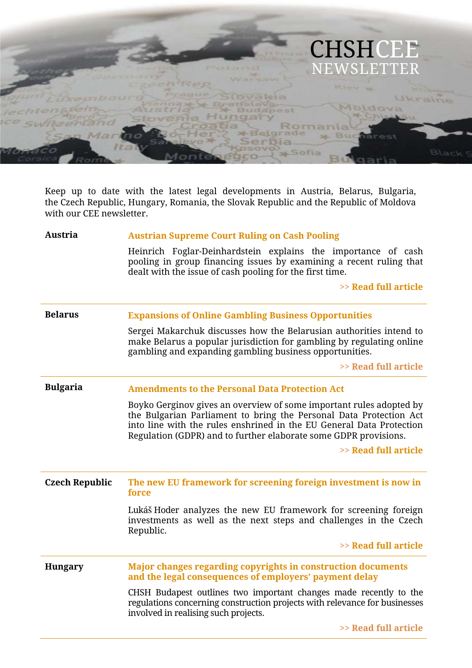

Keep up to date with the latest legal developments in Austria, Belarus, Bulgaria, the Czech Republic, Hungary, Romania, the Slovak Republic and the Republic of Moldova with our CEE newsletter.

#### **Austria Austrian Supreme Court Ruling on Cash Pooling**

Heinrich Foglar-Deinhardstein explains the importance of cash pooling in group financing issues by examining a recent ruling that dealt with the issue of cash pooling for the first time.

**>> Read full article**

| <b>Belarus</b>        | <b>Expansions of Online Gambling Business Opportunities</b>                                                                                                                                                                                                                           |
|-----------------------|---------------------------------------------------------------------------------------------------------------------------------------------------------------------------------------------------------------------------------------------------------------------------------------|
|                       | Sergei Makarchuk discusses how the Belarusian authorities intend to<br>make Belarus a popular jurisdiction for gambling by regulating online<br>gambling and expanding gambling business opportunities.                                                                               |
|                       | >> Read full article                                                                                                                                                                                                                                                                  |
| <b>Bulgaria</b>       | <b>Amendments to the Personal Data Protection Act</b>                                                                                                                                                                                                                                 |
|                       | Boyko Gerginov gives an overview of some important rules adopted by<br>the Bulgarian Parliament to bring the Personal Data Protection Act<br>into line with the rules enshrined in the EU General Data Protection<br>Regulation (GDPR) and to further elaborate some GDPR provisions. |
|                       | >> Read full article                                                                                                                                                                                                                                                                  |
| <b>Czech Republic</b> | The new EU framework for screening foreign investment is now in<br>force                                                                                                                                                                                                              |
|                       | Lukáš Hoder analyzes the new EU framework for screening foreign<br>investments as well as the next steps and challenges in the Czech<br>Republic.                                                                                                                                     |
|                       | >> Read full article                                                                                                                                                                                                                                                                  |
| <b>Hungary</b>        | Major changes regarding copyrights in construction documents<br>and the legal consequences of employers' payment delay                                                                                                                                                                |
|                       | CHSH Budapest outlines two important changes made recently to the<br>regulations concerning construction projects with relevance for businesses                                                                                                                                       |

involved in realising such projects.

**>> Read full article**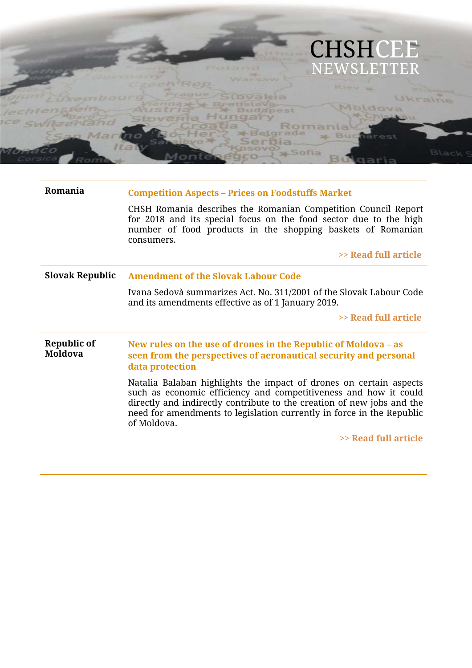

| Romania                       | <b>Competition Aspects - Prices on Foodstuffs Market</b>                                                                                                                                                                                                                                                 |
|-------------------------------|----------------------------------------------------------------------------------------------------------------------------------------------------------------------------------------------------------------------------------------------------------------------------------------------------------|
|                               | CHSH Romania describes the Romanian Competition Council Report<br>for 2018 and its special focus on the food sector due to the high<br>number of food products in the shopping baskets of Romanian<br>consumers.                                                                                         |
|                               | >> Read full article                                                                                                                                                                                                                                                                                     |
| <b>Slovak Republic</b>        | <b>Amendment of the Slovak Labour Code</b>                                                                                                                                                                                                                                                               |
|                               | Ivana Sedovà summarizes Act. No. 311/2001 of the Slovak Labour Code<br>and its amendments effective as of 1 January 2019.                                                                                                                                                                                |
|                               | >> Read full article                                                                                                                                                                                                                                                                                     |
| Republic of<br><b>Moldova</b> | New rules on the use of drones in the Republic of Moldova – as<br>seen from the perspectives of aeronautical security and personal<br>data protection                                                                                                                                                    |
|                               | Natalia Balaban highlights the impact of drones on certain aspects<br>such as economic efficiency and competitiveness and how it could<br>directly and indirectly contribute to the creation of new jobs and the<br>need for amendments to legislation currently in force in the Republic<br>of Moldova. |
|                               | >> Read full article                                                                                                                                                                                                                                                                                     |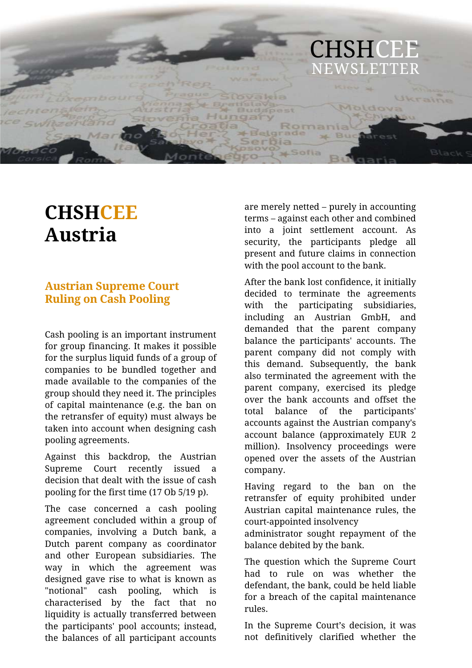

# **CHSHCEE Austria**

# **Austrian Supreme Court Ruling on Cash Pooling**

Cash pooling is an important instrument for group financing. It makes it possible for the surplus liquid funds of a group of companies to be bundled together and made available to the companies of the group should they need it. The principles of capital maintenance (e.g. the ban on the retransfer of equity) must always be taken into account when designing cash pooling agreements.

Against this backdrop, the Austrian Supreme Court recently issued a decision that dealt with the issue of cash pooling for the first time (17 Ob 5/19 p).

The case concerned a cash pooling agreement concluded within a group of companies, involving a Dutch bank, a Dutch parent company as coordinator and other European subsidiaries. The way in which the agreement was designed gave rise to what is known as "notional" cash pooling, which is characterised by the fact that no liquidity is actually transferred between the participants' pool accounts; instead, the balances of all participant accounts

are merely netted – purely in accounting terms – against each other and combined into a joint settlement account. As security, the participants pledge all present and future claims in connection with the pool account to the bank.

After the bank lost confidence, it initially decided to terminate the agreements with the participating subsidiaries, including an Austrian GmbH, and demanded that the parent company balance the participants' accounts. The parent company did not comply with this demand. Subsequently, the bank also terminated the agreement with the parent company, exercised its pledge over the bank accounts and offset the total balance of the participants' accounts against the Austrian company's account balance (approximately EUR 2 million). Insolvency proceedings were opened over the assets of the Austrian company.

Having regard to the ban on the retransfer of equity prohibited under Austrian capital maintenance rules, the court-appointed insolvency

administrator sought repayment of the balance debited by the bank.

The question which the Supreme Court had to rule on was whether the defendant, the bank, could be held liable for a breach of the capital maintenance rules.

In the Supreme Court's decision, it was not definitively clarified whether the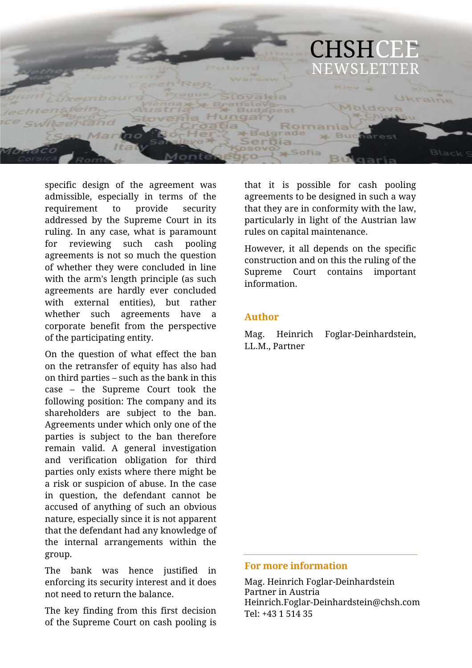

specific design of the agreement was admissible, especially in terms of the requirement to provide security addressed by the Supreme Court in its ruling. In any case, what is paramount for reviewing such cash pooling agreements is not so much the question of whether they were concluded in line with the arm's length principle (as such agreements are hardly ever concluded with external entities), but rather whether such agreements have a corporate benefit from the perspective of the participating entity.

On the question of what effect the ban on the retransfer of equity has also had on third parties – such as the bank in this case – the Supreme Court took the following position: The company and its shareholders are subject to the ban. Agreements under which only one of the parties is subject to the ban therefore remain valid. A general investigation and verification obligation for third parties only exists where there might be a risk or suspicion of abuse. In the case in question, the defendant cannot be accused of anything of such an obvious nature, especially since it is not apparent that the defendant had any knowledge of the internal arrangements within the group.

The bank was hence justified in enforcing its security interest and it does not need to return the balance.

The key finding from this first decision of the Supreme Court on cash pooling is

that it is possible for cash pooling agreements to be designed in such a way that they are in conformity with the law, particularly in light of the Austrian law rules on capital maintenance.

However, it all depends on the specific construction and on this the ruling of the Supreme Court contains important information.

#### **Author**

Mag. Heinrich Foglar-Deinhardstein, LL.M., Partner

#### **For more information**

Mag. Heinrich Foglar-Deinhardstein Partner in Austria Heinrich.Foglar-Deinhardstein@chsh.com Tel: +43 1 514 35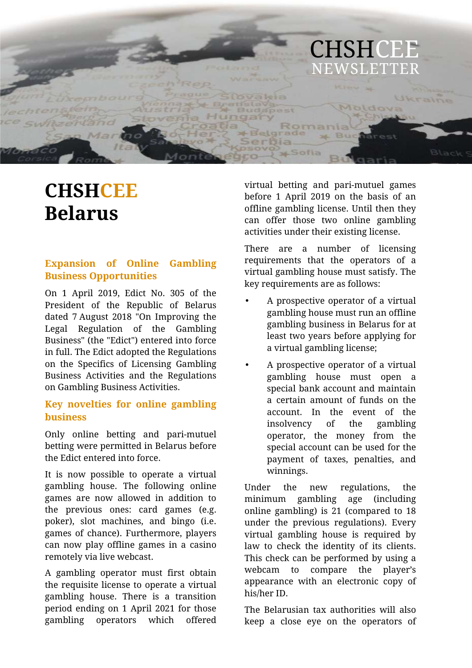

# **CHSHCEE Belarus**

## **Expansion of Online Gambling Business Opportunities**

On 1 April 2019, Edict No. 305 of the President of the Republic of Belarus dated 7 August 2018 "On Improving the Legal Regulation of the Gambling Business" (the "Edict") entered into force in full. The Edict adopted the Regulations on the Specifics of Licensing Gambling Business Activities and the Regulations on Gambling Business Activities.

## **Key novelties for online gambling business**

Only online betting and pari-mutuel betting were permitted in Belarus before the Edict entered into force.

It is now possible to operate a virtual gambling house. The following online games are now allowed in addition to the previous ones: card games (e.g. poker), slot machines, and bingo (i.e. games of chance). Furthermore, players can now play offline games in a casino remotely via live webcast.

A gambling operator must first obtain the requisite license to operate a virtual gambling house. There is a transition period ending on 1 April 2021 for those gambling operators which offered virtual betting and pari-mutuel games before 1 April 2019 on the basis of an offline gambling license. Until then they can offer those two online gambling activities under their existing license.

There are a number of licensing requirements that the operators of a virtual gambling house must satisfy. The key requirements are as follows:

- A prospective operator of a virtual gambling house must run an offline gambling business in Belarus for at least two years before applying for a virtual gambling license;
- A prospective operator of a virtual gambling house must open a special bank account and maintain a certain amount of funds on the account. In the event of the insolvency of the gambling operator, the money from the special account can be used for the payment of taxes, penalties, and winnings.

Under the new regulations, the minimum gambling age (including online gambling) is 21 (compared to 18 under the previous regulations). Every virtual gambling house is required by law to check the identity of its clients. This check can be performed by using a webcam to compare the player's appearance with an electronic copy of his/her ID.

The Belarusian tax authorities will also keep a close eye on the operators of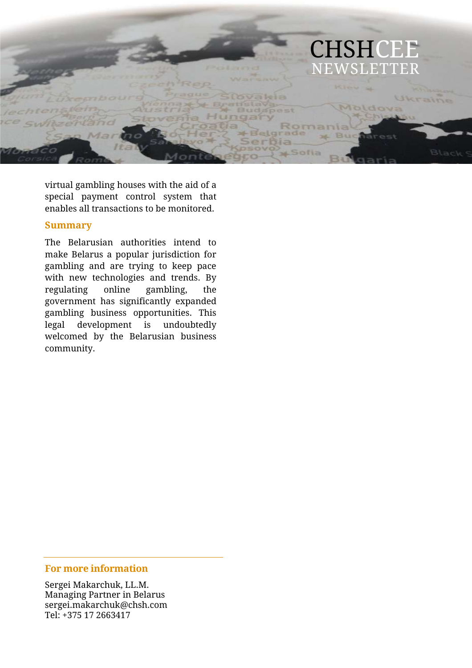

virtual gambling houses with the aid of a special payment control system that enables all transactions to be monitored.

#### **Summary**

The Belarusian authorities intend to make Belarus a popular jurisdiction for gambling and are trying to keep pace with new technologies and trends. By regulating online gambling, the government has significantly expanded gambling business opportunities. This legal development is undoubtedly welcomed by the Belarusian business community.

#### **For more information**

Sergei Makarchuk, LL.M. Managing Partner in Belarus sergei.makarchuk@chsh.com Tel: +375 17 2663417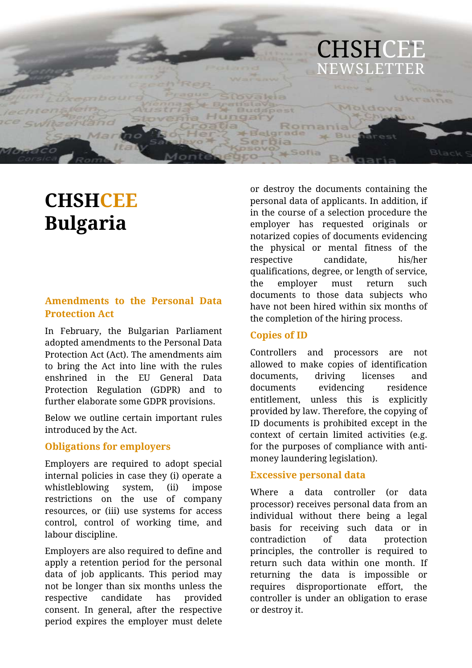

# **CHSHCEE Bulgaria**

#### **Amendments to the Personal Data Protection Act**

In February, the Bulgarian Parliament adopted amendments to the Personal Data Protection Act (Act). The amendments aim to bring the Act into line with the rules enshrined in the EU General Data Protection Regulation (GDPR) and to further elaborate some GDPR provisions.

Below we outline certain important rules introduced by the Act.

#### **Obligations for employers**

Employers are required to adopt special internal policies in case they (i) operate a whistleblowing system, (ii) impose restrictions on the use of company resources, or (iii) use systems for access control, control of working time, and labour discipline.

Employers are also required to define and apply a retention period for the personal data of job applicants. This period may not be longer than six months unless the respective candidate has provided consent. In general, after the respective period expires the employer must delete

or destroy the documents containing the personal data of applicants. In addition, if in the course of a selection procedure the employer has requested originals or notarized copies of documents evidencing the physical or mental fitness of the respective candidate, his/her qualifications, degree, or length of service, the employer must return such documents to those data subjects who have not been hired within six months of the completion of the hiring process.

#### **Copies of ID**

Controllers and processors are not allowed to make copies of identification documents, driving licenses and documents evidencing residence entitlement, unless this is explicitly provided by law. Therefore, the copying of ID documents is prohibited except in the context of certain limited activities (e.g. for the purposes of compliance with antimoney laundering legislation).

#### **Excessive personal data**

Where a data controller (or data processor) receives personal data from an individual without there being a legal basis for receiving such data or in contradiction of data protection principles, the controller is required to return such data within one month. If returning the data is impossible or requires disproportionate effort, the controller is under an obligation to erase or destroy it.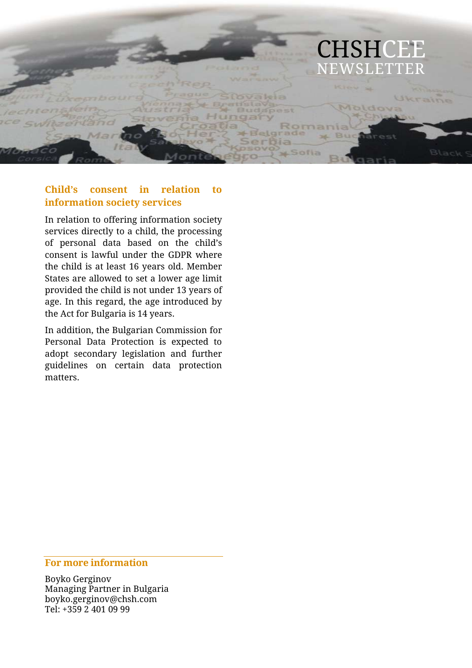

## **Child's consent in relation to information society services**

In relation to offering information society services directly to a child, the processing of personal data based on the child's consent is lawful under the GDPR where the child is at least 16 years old. Member States are allowed to set a lower age limit provided the child is not under 13 years of age. In this regard, the age introduced by the Act for Bulgaria is 14 years.

In addition, the Bulgarian Commission for Personal Data Protection is expected to adopt secondary legislation and further guidelines on certain data protection matters.

#### **For more information**

Boyko Gerginov Managing Partner in Bulgaria boyko.gerginov@chsh.com Tel: +359 2 401 09 99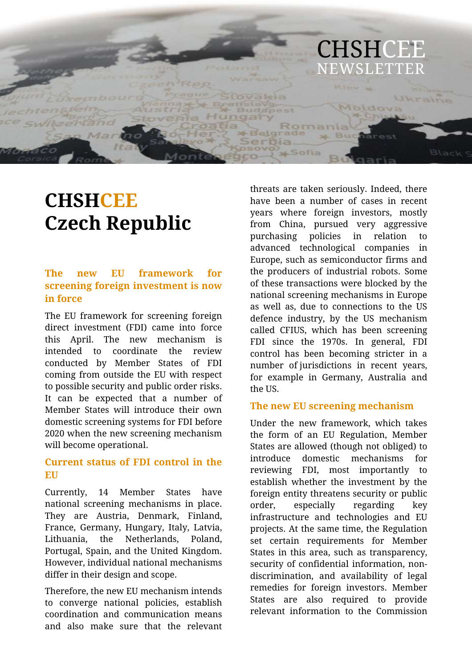

# **CHSHCEE Czech Republic**

## **The new EU framework for screening foreign investment is now in force**

The EU framework for screening foreign direct investment (FDI) came into force this April. The new mechanism is intended to coordinate the review conducted by Member States of FDI coming from outside the EU with respect to possible security and public order risks. It can be expected that a number of Member States will introduce their own domestic screening systems for FDI before 2020 when the new screening mechanism will become operational.

#### **Current status of FDI control in the EU**

Currently, 14 Member States have national screening mechanisms in place. They are Austria, Denmark, Finland, France, Germany, Hungary, Italy, Latvia, Lithuania, the Netherlands, Poland, Portugal, Spain, and the United Kingdom. However, individual national mechanisms differ in their design and scope.

Therefore, the new EU mechanism intends to converge national policies, establish coordination and communication means and also make sure that the relevant threats are taken seriously. Indeed, there have been a number of cases in recent years where foreign investors, mostly from China, pursued very aggressive purchasing policies in relation to advanced technological companies in Europe, such as semiconductor firms and the producers of industrial robots. Some of these transactions were blocked by the national screening mechanisms in Europe as well as, due to connections to the US defence industry, by the US mechanism called CFIUS, which has been screening FDI since the 1970s. In general, FDI control has been becoming stricter in a number of jurisdictions in recent years, for example in Germany, Australia and the US.

#### **The new EU screening mechanism**

Under the new framework, which takes the form of an EU Regulation, Member States are allowed (though not obliged) to introduce domestic mechanisms for reviewing FDI, most importantly to establish whether the investment by the foreign entity threatens security or public order, especially regarding key infrastructure and technologies and EU projects. At the same time, the Regulation set certain requirements for Member States in this area, such as transparency, security of confidential information, nondiscrimination, and availability of legal remedies for foreign investors. Member States are also required to provide relevant information to the Commission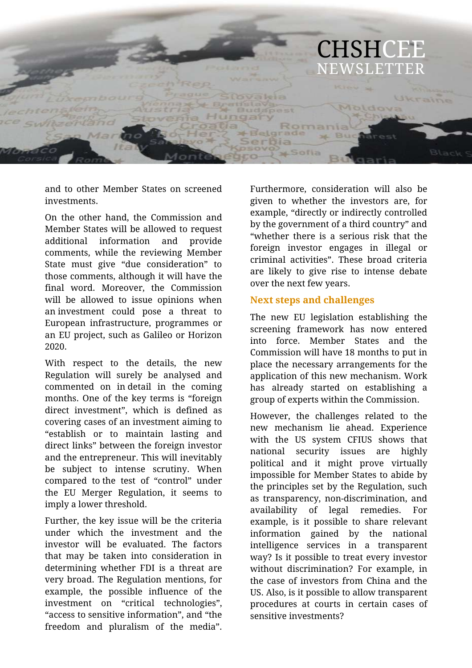

and to other Member States on screened investments.

On the other hand, the Commission and Member States will be allowed to request additional information and provide comments, while the reviewing Member State must give "due consideration" to those comments, although it will have the final word. Moreover, the Commission will be allowed to issue opinions when an investment could pose a threat to European infrastructure, programmes or an EU project, such as Galileo or Horizon 2020.

With respect to the details, the new Regulation will surely be analysed and commented on in detail in the coming months. One of the key terms is "foreign direct investment", which is defined as covering cases of an investment aiming to "establish or to maintain lasting and direct links" between the foreign investor and the entrepreneur. This will inevitably be subject to intense scrutiny. When compared to the test of "control" under the EU Merger Regulation, it seems to imply a lower threshold.

Further, the key issue will be the criteria under which the investment and the investor will be evaluated. The factors that may be taken into consideration in determining whether FDI is a threat are very broad. The Regulation mentions, for example, the possible influence of the investment on "critical technologies", "access to sensitive information", and "the freedom and pluralism of the media".

Furthermore, consideration will also be given to whether the investors are, for example, "directly or indirectly controlled by the government of a third country" and "whether there is a serious risk that the foreign investor engages in illegal or criminal activities". These broad criteria are likely to give rise to intense debate over the next few years.

#### **Next steps and challenges**

The new EU legislation establishing the screening framework has now entered into force. Member States and the Commission will have 18 months to put in place the necessary arrangements for the application of this new mechanism. Work has already started on establishing a group of experts within the Commission.

However, the challenges related to the new mechanism lie ahead. Experience with the US system CFIUS shows that national security issues are highly political and it might prove virtually impossible for Member States to abide by the principles set by the Regulation, such as transparency, non-discrimination, and availability of legal remedies. For example, is it possible to share relevant information gained by the national intelligence services in a transparent way? Is it possible to treat every investor without discrimination? For example, in the case of investors from China and the US. Also, is it possible to allow transparent procedures at courts in certain cases of sensitive investments?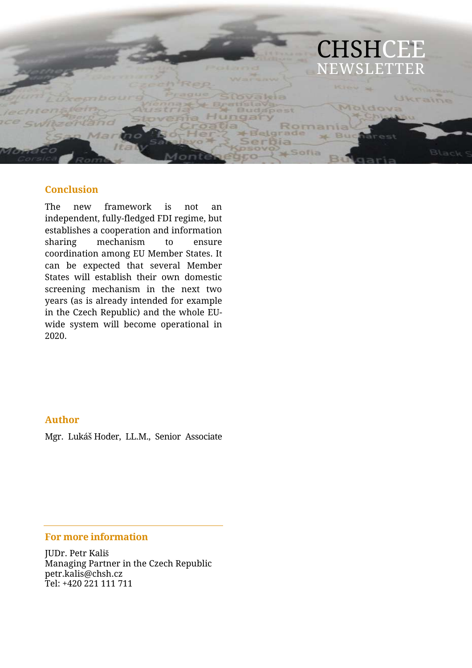

#### **Conclusion**

The new framework is not an independent, fully-fledged FDI regime, but establishes a cooperation and information sharing mechanism to ensure coordination among EU Member States. It can be expected that several Member States will establish their own domestic screening mechanism in the next two years (as is already intended for example in the Czech Republic) and the whole EUwide system will become operational in 2020.

#### **Author**

Mgr. Lukáš Hoder, LL.M., Senior Associate

#### **For more information**

JUDr. Petr Kališ Managing Partner in the Czech Republic petr.kalis@chsh.cz Tel: +420 221 111 711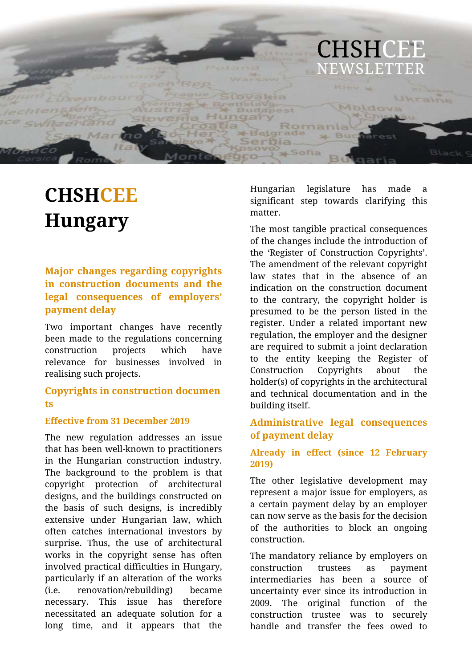

# **CHSHCEE Hungary**

## **Major changes regarding copyrights in construction documents and the legal consequences of employers' payment delay**

Two important changes have recently been made to the regulations concerning construction projects which have relevance for businesses involved in realising such projects.

#### **Copyrights in construction documen ts**

#### **Effective from 31 December 2019**

The new regulation addresses an issue that has been well-known to practitioners in the Hungarian construction industry. The background to the problem is that copyright protection of architectural designs, and the buildings constructed on the basis of such designs, is incredibly extensive under Hungarian law, which often catches international investors by surprise. Thus, the use of architectural works in the copyright sense has often involved practical difficulties in Hungary, particularly if an alteration of the works (i.e. renovation/rebuilding) became necessary. This issue has therefore necessitated an adequate solution for a long time, and it appears that the

Hungarian legislature has made a significant step towards clarifying this matter.

The most tangible practical consequences of the changes include the introduction of the 'Register of Construction Copyrights'. The amendment of the relevant copyright law states that in the absence of an indication on the construction document to the contrary, the copyright holder is presumed to be the person listed in the register. Under a related important new regulation, the employer and the designer are required to submit a joint declaration to the entity keeping the Register of Construction Copyrights about the holder(s) of copyrights in the architectural and technical documentation and in the building itself.

#### **Administrative legal consequences of payment delay**

#### **Already in effect (since 12 February 2019)**

The other legislative development may represent a major issue for employers, as a certain payment delay by an employer can now serve as the basis for the decision of the authorities to block an ongoing construction.

The mandatory reliance by employers on construction trustees as payment intermediaries has been a source of uncertainty ever since its introduction in 2009. The original function of the construction trustee was to securely handle and transfer the fees owed to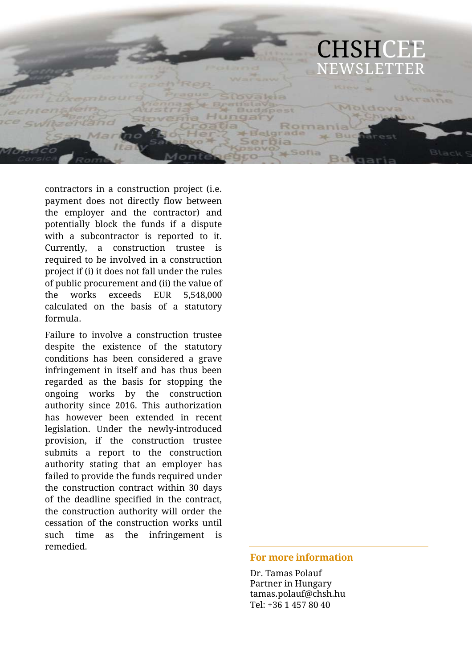

contractors in a construction project (i.e. payment does not directly flow between the employer and the contractor) and potentially block the funds if a dispute with a subcontractor is reported to it. Currently, a construction trustee is required to be involved in a construction project if (i) it does not fall under the rules of public procurement and (ii) the value of the works exceeds EUR 5,548,000 calculated on the basis of a statutory formula.

Failure to involve a construction trustee despite the existence of the statutory conditions has been considered a grave infringement in itself and has thus been regarded as the basis for stopping the ongoing works by the construction authority since 2016. This authorization has however been extended in recent legislation. Under the newly-introduced provision, if the construction trustee submits a report to the construction authority stating that an employer has failed to provide the funds required under the construction contract within 30 days of the deadline specified in the contract, the construction authority will order the cessation of the construction works until such time as the infringement is remedied.

#### **For more information**

Dr. Tamas Polauf Partner in Hungary tamas.polauf@chsh.hu Tel: +36 1 457 80 40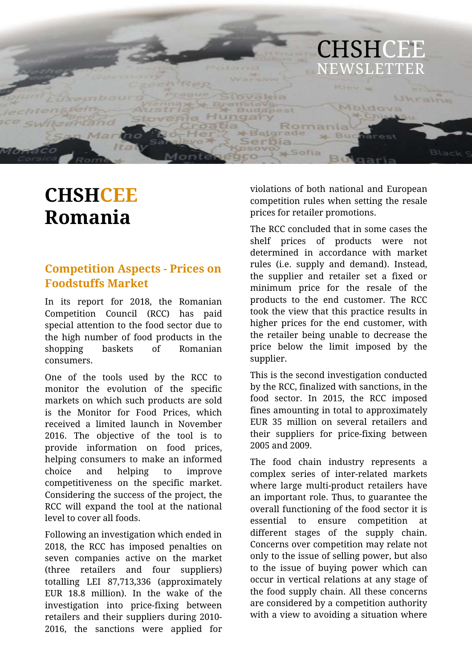

# **CHSHCEE Romania**

# **Competition Aspects - Prices on Foodstuffs Market**

In its report for 2018, the Romanian Competition Council (RCC) has paid special attention to the food sector due to the high number of food products in the shopping baskets of Romanian consumers.

One of the tools used by the RCC to monitor the evolution of the specific markets on which such products are sold is the Monitor for Food Prices, which received a limited launch in November 2016. The objective of the tool is to provide information on food prices, helping consumers to make an informed choice and helping to improve competitiveness on the specific market. Considering the success of the project, the RCC will expand the tool at the national level to cover all foods.

Following an investigation which ended in 2018, the RCC has imposed penalties on seven companies active on the market (three retailers and four suppliers) totalling LEI 87,713,336 (approximately EUR 18.8 million). In the wake of the investigation into price-fixing between retailers and their suppliers during 2010- 2016, the sanctions were applied for

violations of both national and European competition rules when setting the resale prices for retailer promotions.

The RCC concluded that in some cases the shelf prices of products were not determined in accordance with market rules (i.e. supply and demand). Instead, the supplier and retailer set a fixed or minimum price for the resale of the products to the end customer. The RCC took the view that this practice results in higher prices for the end customer, with the retailer being unable to decrease the price below the limit imposed by the supplier.

This is the second investigation conducted by the RCC, finalized with sanctions, in the food sector. In 2015, the RCC imposed fines amounting in total to approximately EUR 35 million on several retailers and their suppliers for price-fixing between 2005 and 2009.

The food chain industry represents a complex series of inter-related markets where large multi-product retailers have an important role. Thus, to guarantee the overall functioning of the food sector it is essential to ensure competition at different stages of the supply chain. Concerns over competition may relate not only to the issue of selling power, but also to the issue of buying power which can occur in vertical relations at any stage of the food supply chain. All these concerns are considered by a competition authority with a view to avoiding a situation where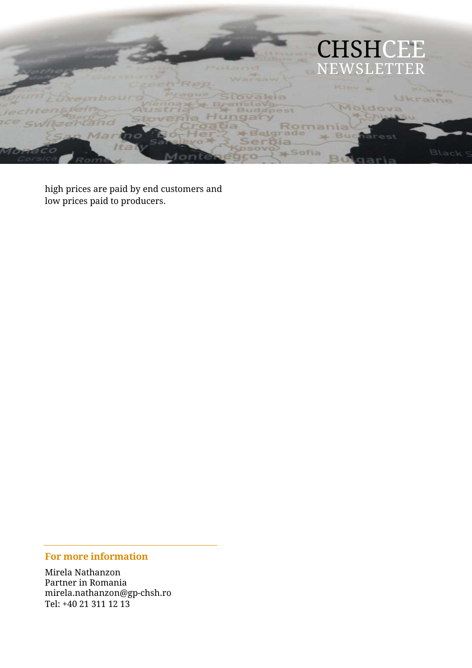

high prices are paid by end customers and low prices paid to producers.

## **For more information**

Mirela Nathanzon Partner in Romania mirela.nathanzon@gp-chsh.ro Tel: +40 21 311 12 13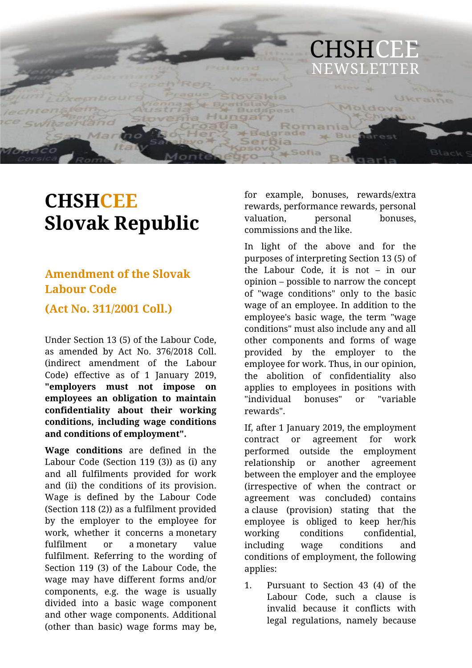

# **CHSHCEE Slovak Republic**

# **Amendment of the Slovak Labour Code**

**(Act No. 311/2001 Coll.)**

Under Section 13 (5) of the Labour Code, as amended by Act No. 376/2018 Coll. (indirect amendment of the Labour Code) effective as of 1 January 2019, **"employers must not impose on employees an obligation to maintain confidentiality about their working conditions, including wage conditions and conditions of employment".**

**Wage conditions** are defined in the Labour Code (Section 119 (3)) as (i) any and all fulfilments provided for work and (ii) the conditions of its provision. Wage is defined by the Labour Code (Section 118 (2)) as a fulfilment provided by the employer to the employee for work, whether it concerns a monetary fulfilment or a monetary value fulfilment. Referring to the wording of Section 119 (3) of the Labour Code, the wage may have different forms and/or components, e.g. the wage is usually divided into a basic wage component and other wage components. Additional (other than basic) wage forms may be, for example, bonuses, rewards/extra rewards, performance rewards, personal valuation, personal bonuses, commissions and the like.

In light of the above and for the purposes of interpreting Section 13 (5) of the Labour Code, it is not – in our opinion – possible to narrow the concept of "wage conditions" only to the basic wage of an employee. In addition to the employee's basic wage, the term "wage conditions" must also include any and all other components and forms of wage provided by the employer to the employee for work. Thus, in our opinion, the abolition of confidentiality also applies to employees in positions with "individual bonuses" or "variable rewards".

If, after 1 January 2019, the employment contract or agreement for work performed outside the employment relationship or another agreement between the employer and the employee (irrespective of when the contract or agreement was concluded) contains a clause (provision) stating that the employee is obliged to keep her/his working conditions confidential, including wage conditions and conditions of employment, the following applies:

1. Pursuant to Section 43 (4) of the Labour Code, such a clause is invalid because it conflicts with legal regulations, namely because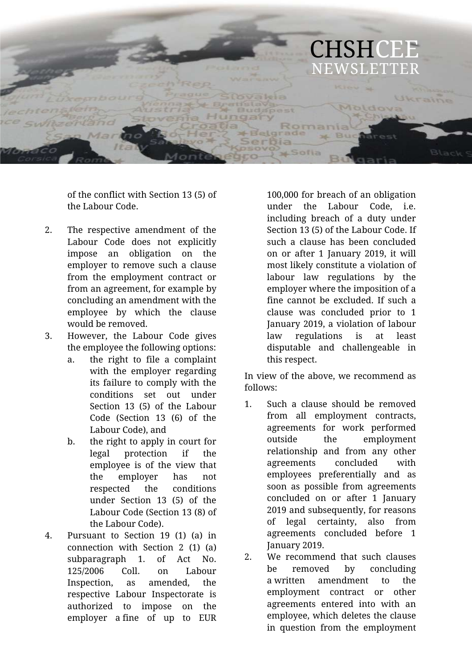

of the conflict with Section 13 (5) of the Labour Code.

- 2. The respective amendment of the Labour Code does not explicitly impose an obligation on the employer to remove such a clause from the employment contract or from an agreement, for example by concluding an amendment with the employee by which the clause would be removed.
- 3. However, the Labour Code gives the employee the following options:
	- a. the right to file a complaint with the employer regarding its failure to comply with the conditions set out under Section 13 (5) of the Labour Code (Section 13 (6) of the Labour Code), and
	- b. the right to apply in court for legal protection if the employee is of the view that the employer has not respected the conditions under Section 13 (5) of the Labour Code (Section 13 (8) of the Labour Code).
- 4. Pursuant to Section 19 (1) (a) in connection with Section 2 (1) (a) subparagraph 1. of Act No. 125/2006 Coll. on Labour Inspection, as amended, the respective Labour Inspectorate is authorized to impose on the employer a fine of up to EUR

100,000 for breach of an obligation under the Labour Code, i.e. including breach of a duty under Section 13 (5) of the Labour Code. If such a clause has been concluded on or after 1 January 2019, it will most likely constitute a violation of labour law regulations by the employer where the imposition of a fine cannot be excluded. If such a clause was concluded prior to 1 January 2019, a violation of labour law regulations is at least disputable and challengeable in this respect.

In view of the above, we recommend as follows:

- 1. Such a clause should be removed from all employment contracts, agreements for work performed outside the employment relationship and from any other agreements concluded with employees preferentially and as soon as possible from agreements concluded on or after 1 January 2019 and subsequently, for reasons of legal certainty, also from agreements concluded before 1 January 2019.
- 2. We recommend that such clauses be removed by concluding a written amendment to the employment contract or other agreements entered into with an employee, which deletes the clause in question from the employment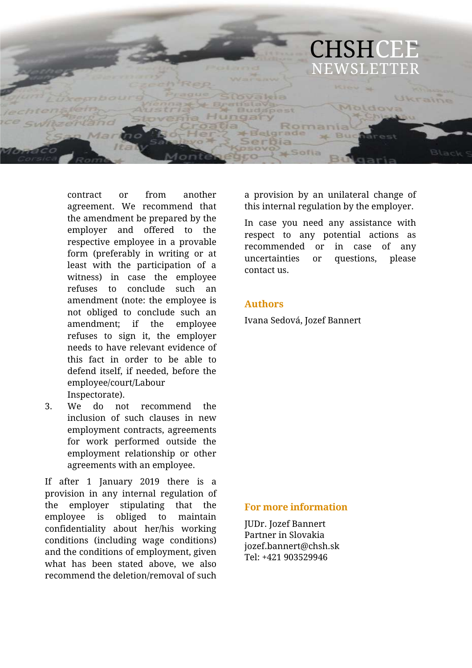

contract or from another agreement. We recommend that the amendment be prepared by the employer and offered to the respective employee in a provable form (preferably in writing or at least with the participation of a witness) in case the employee refuses to conclude such an amendment (note: the employee is not obliged to conclude such an amendment; if the employee refuses to sign it, the employer needs to have relevant evidence of this fact in order to be able to defend itself, if needed, before the employee/court/Labour Inspectorate).

3. We do not recommend the inclusion of such clauses in new employment contracts, agreements for work performed outside the employment relationship or other agreements with an employee.

If after 1 January 2019 there is a provision in any internal regulation of the employer stipulating that the employee is obliged to maintain confidentiality about her/his working conditions (including wage conditions) and the conditions of employment, given what has been stated above, we also recommend the deletion/removal of such a provision by an unilateral change of this internal regulation by the employer.

In case you need any assistance with respect to any potential actions as recommended or in case of any uncertainties or questions, please contact us.

#### **Authors**

Ivana Sedová, Jozef Bannert

#### **For more information**

JUDr. Jozef Bannert Partner in Slovakia jozef.bannert@chsh.sk Tel: +421 903529946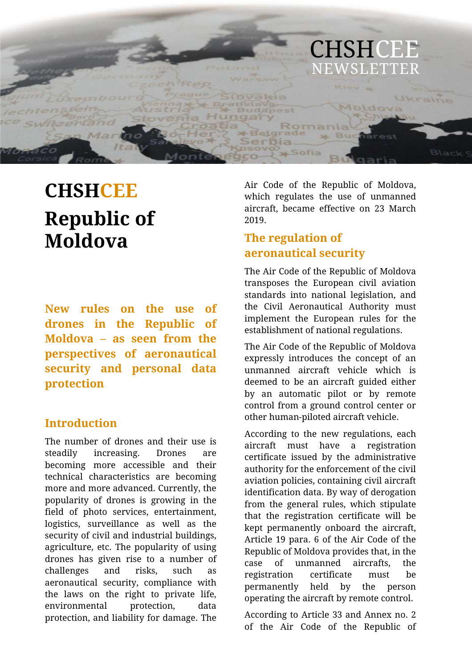

# **CHSHCEE Republic of Moldova**

**New rules on the use of drones in the Republic of Moldova – as seen from the perspectives of aeronautical security and personal data protection** 

## **Introduction**

The number of drones and their use is steadily increasing. Drones are becoming more accessible and their technical characteristics are becoming more and more advanced. Currently, the popularity of drones is growing in the field of photo services, entertainment, logistics, surveillance as well as the security of civil and industrial buildings, agriculture, etc. The popularity of using drones has given rise to a number of challenges and risks, such as aeronautical security, compliance with the laws on the right to private life, environmental protection, data protection, and liability for damage. The

Air Code of the Republic of Moldova, which regulates the use of unmanned aircraft, became effective on 23 March 2019.

# **The regulation of aeronautical security**

The Air Code of the Republic of Moldova transposes the European civil aviation standards into national legislation, and the Civil Aeronautical Authority must implement the European rules for the establishment of national regulations.

The Air Code of the Republic of Moldova expressly introduces the concept of an unmanned aircraft vehicle which is deemed to be an aircraft guided either by an automatic pilot or by remote control from a ground control center or other human-piloted aircraft vehicle.

According to the new regulations, each aircraft must have a registration certificate issued by the administrative authority for the enforcement of the civil aviation policies, containing civil aircraft identification data. By way of derogation from the general rules, which stipulate that the registration certificate will be kept permanently onboard the aircraft, Article 19 para. 6 of the Air Code of the Republic of Moldova provides that, in the case of unmanned aircrafts, the registration certificate must be permanently held by the person operating the aircraft by remote control.

According to Article 33 and Annex no. 2 of the Air Code of the Republic of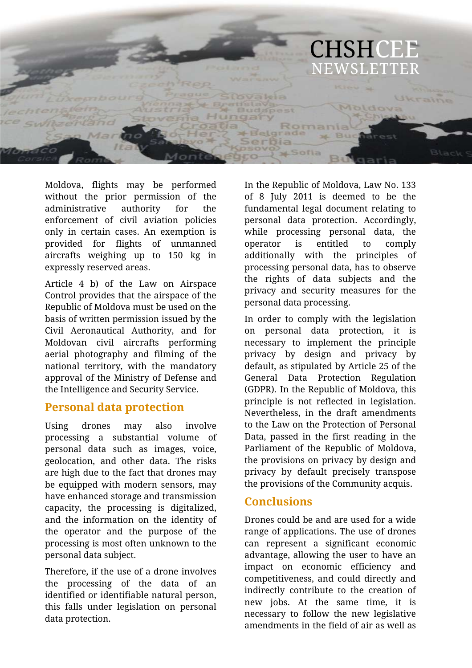

Moldova, flights may be performed without the prior permission of the administrative authority for the enforcement of civil aviation policies only in certain cases. An exemption is provided for flights of unmanned aircrafts weighing up to 150 kg in expressly reserved areas.

Article 4 b) of the Law on Airspace Control provides that the airspace of the Republic of Moldova must be used on the basis of written permission issued by the Civil Aeronautical Authority, and for Moldovan civil aircrafts performing aerial photography and filming of the national territory, with the mandatory approval of the Ministry of Defense and the Intelligence and Security Service.

#### **Personal data protection**

Using drones may also involve processing a substantial volume of personal data such as images, voice, geolocation, and other data. The risks are high due to the fact that drones may be equipped with modern sensors, may have enhanced storage and transmission capacity, the processing is digitalized, and the information on the identity of the operator and the purpose of the processing is most often unknown to the personal data subject.

Therefore, if the use of a drone involves the processing of the data of an identified or identifiable natural person, this falls under legislation on personal data protection.

In the Republic of Moldova, Law No. 133 of 8 July 2011 is deemed to be the fundamental legal document relating to personal data protection. Accordingly, while processing personal data, the operator is entitled to comply additionally with the principles of processing personal data, has to observe the rights of data subjects and the privacy and security measures for the personal data processing.

In order to comply with the legislation on personal data protection, it is necessary to implement the principle privacy by design and privacy by default, as stipulated by Article 25 of the General Data Protection Regulation (GDPR). In the Republic of Moldova, this principle is not reflected in legislation. Nevertheless, in the draft amendments to the Law on the Protection of Personal Data, passed in the first reading in the Parliament of the Republic of Moldova, the provisions on privacy by design and privacy by default precisely transpose the provisions of the Community acquis.

## **Conclusions**

Drones could be and are used for a wide range of applications. The use of drones can represent a significant economic advantage, allowing the user to have an impact on economic efficiency and competitiveness, and could directly and indirectly contribute to the creation of new jobs. At the same time, it is necessary to follow the new legislative amendments in the field of air as well as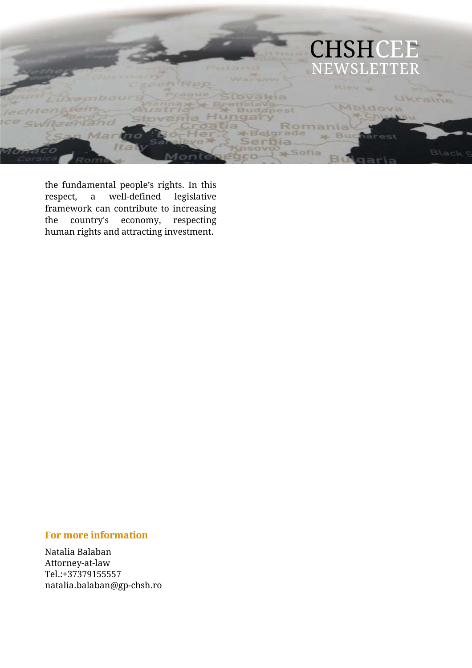

the fundamental people's rights. In this respect, a well-defined legislative framework can contribute to increasing<br>the country's economy, respecting the country's economy, respecting human rights and attracting investment.

#### **For more information**

Natalia Balaban Attorney-at-law Tel.:+37379155557 natalia.balaban@gp-chsh.ro